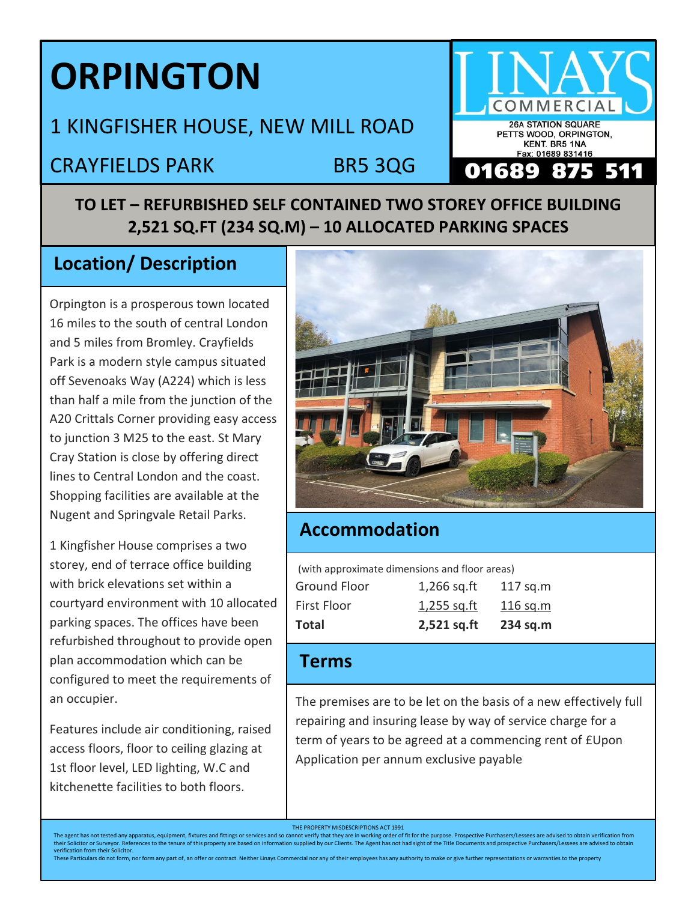# **ORPINGTON**

# 1 KINGFISHER HOUSE, NEW MILL ROAD

# CRAYFIELDS PARK BR5 3QG

## **TO LET – REFURBISHED SELF CONTAINED TWO STOREY OFFICE BUILDING 2,521 SQ.FT (234 SQ.M) – 10 ALLOCATED PARKING SPACES**

### **Location/ Description**

Orpington is a prosperous town located 16 miles to the south of central London and 5 miles from Bromley. Crayfields Park is a modern style campus situated off Sevenoaks Way (A224) which is less than half a mile from the junction of the A20 Crittals Corner providing easy access to junction 3 M25 to the east. St Mary Cray Station is close by offering direct lines to Central London and the coast. Shopping facilities are available at the Nugent and Springvale Retail Parks.

1 Kingfisher House comprises a two storey, end of terrace office building with brick elevations set within a courtyard environment with 10 allocated parking spaces. The offices have been refurbished throughout to provide open plan accommodation which can be configured to meet the requirements of an occupier.

Features include air conditioning, raised access floors, floor to ceiling glazing at 1st floor level, LED lighting, W.C and kitchenette facilities to both floors.



**OM** 

**26A STATION SQUARE** PETTS WOOD, ORPINGTON, KENT. BR5 1NA Fax: 01689 831416

511

#### **Accommodation**

(with approximate dimensions and floor areas)

| Total              | 2,521 sq.ft   | 234 sq.m   |
|--------------------|---------------|------------|
| <b>First Floor</b> | $1,255$ sq.ft | 116 sq.m   |
| Ground Floor       | $1,266$ sq.ft | $117$ sq.m |

#### **Terms**

The premises are to be let on the basis of a new effectively full repairing and insuring lease by way of service charge for a term of years to be agreed at a commencing rent of £Upon Application per annum exclusive payable

These Particulars do not form, nor form any part of, an offer or contract. Neither Linays Commercial nor any of their employees has any authority to make or give further representations or warranties to the property

THE PROPERTY MISDESCRIPTIONS ACT 1991<br>The agent has not tested any apparatus, equipment, fixtures and fittings or services and so cannot verify that they are in working order of fit for the purpose. Prospective Purchasers/ The agent has not tested any apparatus, equipment, fixtures and fittings or services and so cannot verify that they are in working order of fit for the purpose. Prospective Purchasers/Lessees are advised to obtain verifica